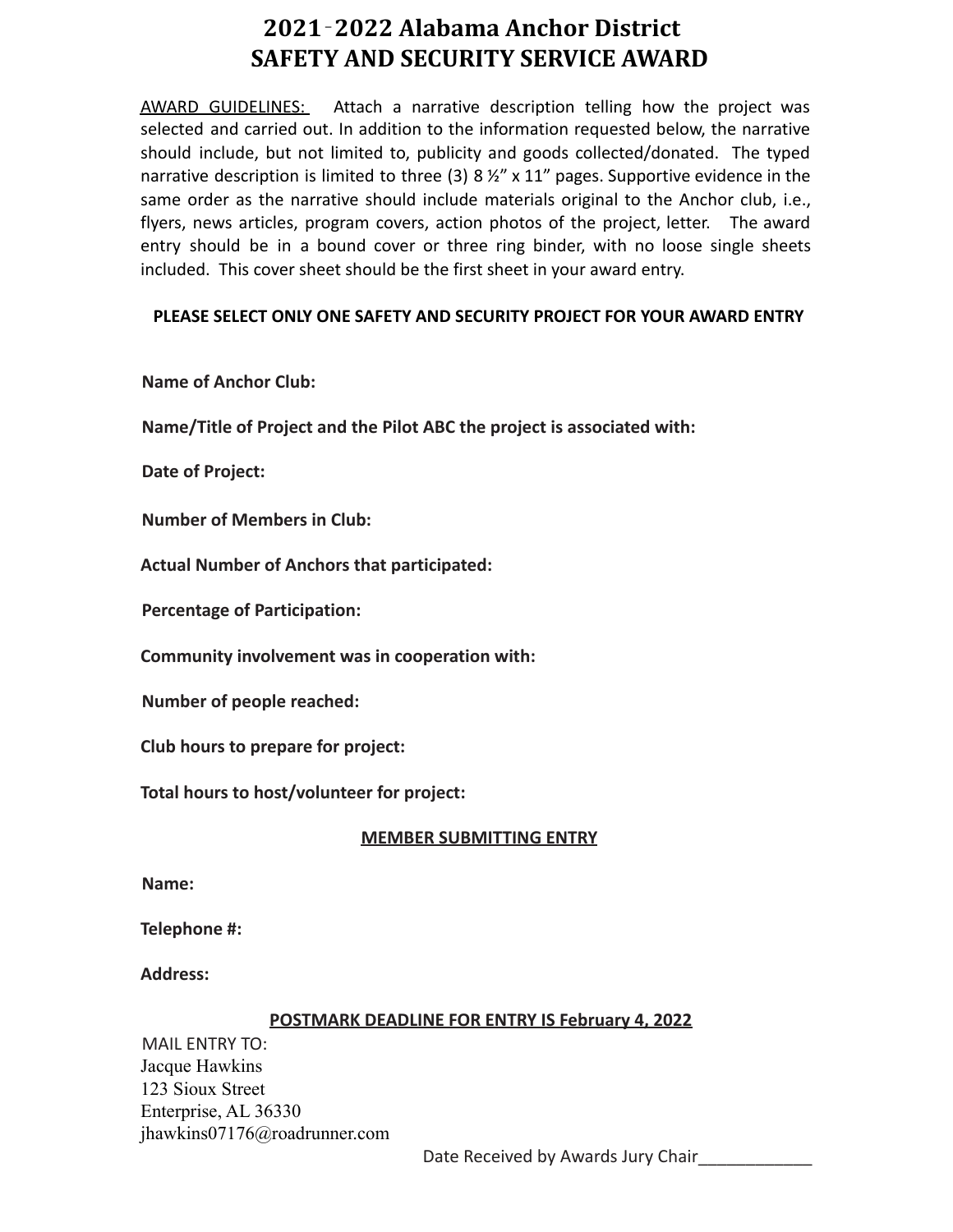# **2021**‐**2022 Alabama Anchor District SAFETY AND SECURITY SERVICE AWARD**

AWARD GUIDELINES: Attach a narrative description telling how the project was selected and carried out. In addition to the information requested below, the narrative should include, but not limited to, publicity and goods collected/donated. The typed narrative description is limited to three (3) 8  $\frac{1}{2}$ " x 11" pages. Supportive evidence in the same order as the narrative should include materials original to the Anchor club, i.e., flyers, news articles, program covers, action photos of the project, letter. The award entry should be in a bound cover or three ring binder, with no loose single sheets included. This cover sheet should be the first sheet in your award entry.

## **PLEASE SELECT ONLY ONE SAFETY AND SECURITY PROJECT FOR YOUR AWARD ENTRY**

## **Name of Anchor Club:**

**Name/Title of Project and the Pilot ABC the project is associated with:**

**Date of Project:**

**Number of Members in Club:**

**Actual Number of Anchors that participated:**

**Percentage of Participation:**

**Community involvement was in cooperation with:**

**Number of people reached:**

**Club hours to prepare for project:**

**Total hours to host/volunteer for project:**

#### **MEMBER SUBMITTING ENTRY**

**Name:**

**Telephone #:**

**Address:**

#### **POSTMARK DEADLINE FOR ENTRY IS February 4, 2022**

MAIL ENTRY TO: Jacque Hawkins 123 Sioux Street Enterprise, AL 36330 jhawkins07176@roadrunner.com

Date Received by Awards Jury Chair